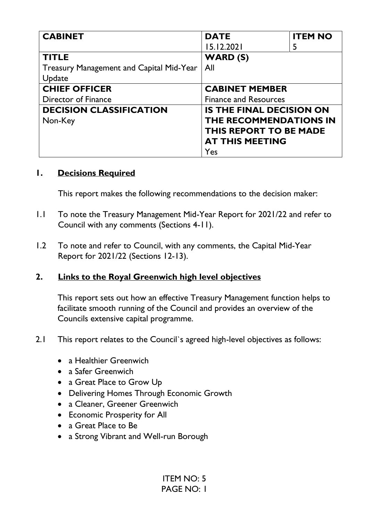| <b>CABINET</b>                                  | <b>DATE</b>                     | <b>ITEM NO</b> |
|-------------------------------------------------|---------------------------------|----------------|
|                                                 | 15.12.2021                      | 5              |
| <b>TITLE</b>                                    | <b>WARD (S)</b>                 |                |
| <b>Treasury Management and Capital Mid-Year</b> | All                             |                |
| Update                                          |                                 |                |
| <b>CHIEF OFFICER</b>                            | <b>CABINET MEMBER</b>           |                |
| Director of Finance                             | <b>Finance and Resources</b>    |                |
| <b>DECISION CLASSIFICATION</b>                  | <b>IS THE FINAL DECISION ON</b> |                |
| Non-Key                                         | THE RECOMMENDATIONS IN          |                |
|                                                 | THIS REPORT TO BE MADE          |                |
|                                                 | <b>AT THIS MEETING</b>          |                |
|                                                 | Yes                             |                |

#### **1. Decisions Required**

This report makes the following recommendations to the decision maker:

- 1.1 To note the Treasury Management Mid-Year Report for 2021/22 and refer to Council with any comments (Sections 4-11).
- 1.2 To note and refer to Council, with any comments, the Capital Mid-Year Report for 2021/22 (Sections 12-13).

### **2. Links to the Royal Greenwich high level objectives**

This report sets out how an effective Treasury Management function helps to facilitate smooth running of the Council and provides an overview of the Councils extensive capital programme.

- 2.1 This report relates to the Council`s agreed high-level objectives as follows:
	- a Healthier Greenwich
	- a Safer Greenwich
	- a Great Place to Grow Up
	- Delivering Homes Through Economic Growth
	- a Cleaner, Greener Greenwich
	- Economic Prosperity for All
	- a Great Place to Be
	- a Strong Vibrant and Well-run Borough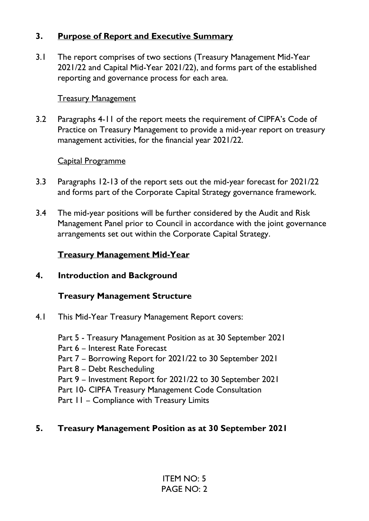### **3. Purpose of Report and Executive Summary**

3.1 The report comprises of two sections (Treasury Management Mid-Year 2021/22 and Capital Mid-Year 2021/22), and forms part of the established reporting and governance process for each area.

#### **Treasury Management**

3.2 Paragraphs 4-11 of the report meets the requirement of CIPFA's Code of Practice on Treasury Management to provide a mid-year report on treasury management activities, for the financial year 2021/22.

#### Capital Programme

- 3.3 Paragraphs 12-13 of the report sets out the mid-year forecast for 2021/22 and forms part of the Corporate Capital Strategy governance framework.
- 3.4 The mid-year positions will be further considered by the Audit and Risk Management Panel prior to Council in accordance with the joint governance arrangements set out within the Corporate Capital Strategy.

### **Treasury Management Mid-Year**

**4. Introduction and Background** 

### **Treasury Management Structure**

- 4.1 This Mid-Year Treasury Management Report covers:
	- Part 5 Treasury Management Position as at 30 September 2021
	- Part 6 Interest Rate Forecast
	- Part 7 Borrowing Report for 2021/22 to 30 September 2021
	- Part 8 Debt Rescheduling
	- Part 9 Investment Report for 2021/22 to 30 September 2021
	- Part 10- CIPFA Treasury Management Code Consultation
	- Part II Compliance with Treasury Limits

### **5. Treasury Management Position as at 30 September 2021**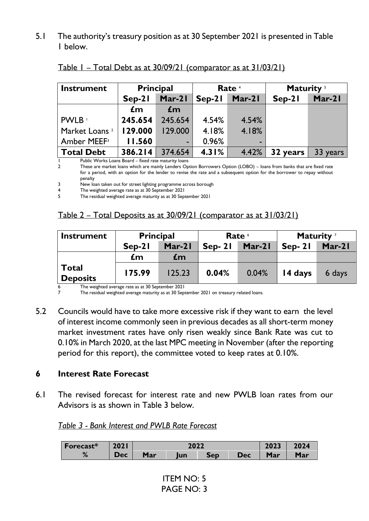5.1 The authority's treasury position as at 30 September 2021 is presented in Table 1 below.

| <b>Instrument</b>         |          | <b>Principal</b><br>Rate <sup>4</sup> |          | Maturity <sup>5</sup> |          |          |
|---------------------------|----------|---------------------------------------|----------|-----------------------|----------|----------|
|                           | $Sep-21$ | $Mar-21$                              | $Sep-21$ | Mar-21                | $Sep-21$ | Mar-21   |
|                           | £m       | £m                                    |          |                       |          |          |
| PWLB '                    | 245.654  | 245.654                               | 4.54%    | 4.54%                 |          |          |
| Market Loans <sup>2</sup> | 129.000  | 129.000                               | 4.18%    | 4.18%                 |          |          |
| Amber MEEF <sup>3</sup>   | 11.560   | $\overline{\phantom{a}}$              | 0.96%    | ۰                     |          |          |
| <b>Total Debt</b>         | 386.214  | 374.654                               | 4.31%    | 4.42%                 | 32 years | 33 years |

| Table I – Total Debt as at 30/09/21 (comparator as at 31/03/21) |  |
|-----------------------------------------------------------------|--|
|                                                                 |  |

1 Public Works Loans Board – fixed rate maturity loans

2 These are market loans which are mainly Lenders Option Borrowers Option (LOBO) – loans from banks that are fixed rate for a period, with an option for the lender to revise the rate and a subsequent option for the borrower to repay without penalty

3 New loan taken out for street lighting programme across borough

4 The weighted average rate as at 30 September 2021

The residual weighted average maturity as at 30 September 2021

#### Table 2 – Total Deposits as at 30/09/21 (comparator as at 31/03/21)

| <b>Instrument</b>               | <b>Principal</b> |                |                      | Rate <sup>6</sup> | Maturity <sup>7</sup> |          |
|---------------------------------|------------------|----------------|----------------------|-------------------|-----------------------|----------|
|                                 | $Sen-21$         | $Mar-21$       | $Mar-21$<br>$Sep-21$ |                   | $Sep-21$              | $Mar-21$ |
|                                 | £m               | $\mathbf{f}$ m |                      |                   |                       |          |
| <b>Total</b><br><b>Deposits</b> | 175.99           | 125.23         | 0.04%                | 0.04%             | 14 days               | 6 days   |

 $\frac{6}{7}$  The weighted average rate as at 30 September 2021<br>The residual weighted average maturity as at 30 Sep The residual weighted average maturity as at 30 September 2021 on treasury related loans.

5.2 Councils would have to take more excessive risk if they want to earn the level of interest income commonly seen in previous decades as all short-term money market investment rates have only risen weakly since Bank Rate was cut to 0.10% in March 2020, at the last MPC meeting in November (after the reporting period for this report), the committee voted to keep rates at 0.10%.

#### **6 Interest Rate Forecast**

6.1 The revised forecast for interest rate and new PWLB loan rates from our Advisors is as shown in Table 3 below.

#### *Table 3 - Bank Interest and PWLB Rate Forecast*

| Forecast* | <b>2021</b> | 2022 |     |     |            | 2023 | 2024       |
|-----------|-------------|------|-----|-----|------------|------|------------|
| 70        | Dec         | Mar  | lun | Sep | <b>Dec</b> | Mar  | <b>Mar</b> |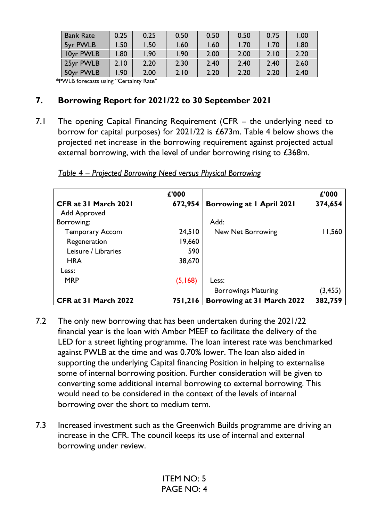| <b>Bank Rate</b> | 0.25 | 0.25 | 0.50 | 0.50 | 0.50 | 0.75 | 1.00 |
|------------------|------|------|------|------|------|------|------|
| 5yr PWLB         | l.50 | l.50 | 1.60 | l.60 | 1.70 | 1.70 | 1.80 |
| 10yr PWLB        | .80  | l.90 | 1.90 | 2.00 | 2.00 | 2.10 | 2.20 |
| 25yr PWLB        | 2.10 | 2.20 | 2.30 | 2.40 | 2.40 | 2.40 | 2.60 |
| 50yr PWLB        | .90  | 2.00 | 2.10 | 2.20 | 2.20 | 2.20 | 2.40 |

\*PWLB forecasts using "Certainty Rate"

### **7. Borrowing Report for 2021/22 to 30 September 2021**

7.1 The opening Capital Financing Requirement (CFR – the underlying need to borrow for capital purposes) for 2021/22 is £673m. Table 4 below shows the projected net increase in the borrowing requirement against projected actual external borrowing, with the level of under borrowing rising to £368m.

|                        | £'000   |                            | £'000    |
|------------------------|---------|----------------------------|----------|
| CFR at 31 March 2021   | 672,954 | Borrowing at 1 April 2021  | 374,654  |
| Add Approved           |         |                            |          |
| Borrowing:             |         | Add:                       |          |
| <b>Temporary Accom</b> | 24,510  | New Net Borrowing          | 11,560   |
| Regeneration           | 19,660  |                            |          |
| Leisure / Libraries    | 590     |                            |          |
| <b>HRA</b>             | 38,670  |                            |          |
| Less:                  |         |                            |          |
| <b>MRP</b>             | (5,168) | Less:                      |          |
|                        |         | <b>Borrowings Maturing</b> | (3, 455) |
| CFR at 31 March 2022   | 751,216 | Borrowing at 31 March 2022 | 382,759  |

*Table 4 – Projected Borrowing Need versus Physical Borrowing* 

- 7.2 The only new borrowing that has been undertaken during the 2021/22 financial year is the loan with Amber MEEF to facilitate the delivery of the LED for a street lighting programme. The loan interest rate was benchmarked against PWLB at the time and was 0.70% lower. The loan also aided in supporting the underlying Capital financing Position in helping to externalise some of internal borrowing position. Further consideration will be given to converting some additional internal borrowing to external borrowing. This would need to be considered in the context of the levels of internal borrowing over the short to medium term.
- 7.3 Increased investment such as the Greenwich Builds programme are driving an increase in the CFR. The council keeps its use of internal and external borrowing under review.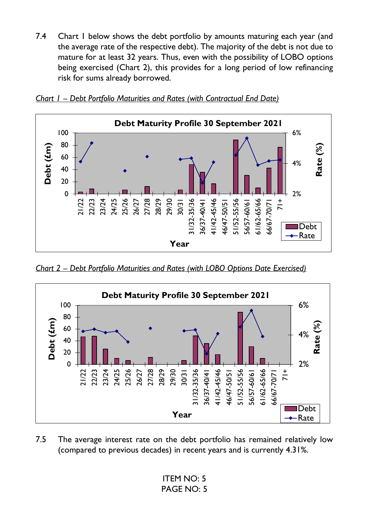7.4 Chart I below shows the debt portfolio by amounts maturing each year (and the average rate of the respective debt). The majority of the debt is not due to mature for at least 32 years. Thus, even with the possibility of LOBO options being exercised (Chart 2), this provides for a long period of low refinancing risk for sums already borrowed.





*Chart 2 – Debt Portfolio Maturities and Rates (with LOBO Options Date Exercised)* 



7.5 The average interest rate on the debt portfolio has remained relatively low (compared to previous decades) in recent years and is currently 4.31%.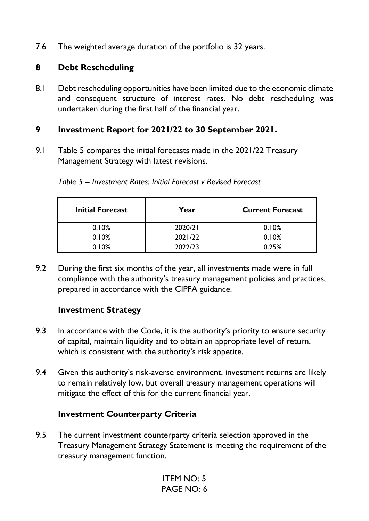7.6 The weighted average duration of the portfolio is 32 years.

### **8 Debt Rescheduling**

8.1 Debt rescheduling opportunities have been limited due to the economic climate and consequent structure of interest rates. No debt rescheduling was undertaken during the first half of the financial year.

#### **9 Investment Report for 2021/22 to 30 September 2021.**

9.1 Table 5 compares the initial forecasts made in the 2021/22 Treasury Management Strategy with latest revisions.

| <b>Initial Forecast</b> | Year    | <b>Current Forecast</b> |
|-------------------------|---------|-------------------------|
| 0.10%                   | 2020/21 | 0.10%                   |
| 0.10%                   | 2021/22 | 0.10%                   |
| 0.10%                   | 2022/23 | 0.25%                   |

*Table 5 – Investment Rates: Initial Forecast v Revised Forecast* 

9.2 During the first six months of the year, all investments made were in full compliance with the authority's treasury management policies and practices, prepared in accordance with the CIPFA guidance.

### **Investment Strategy**

- 9.3 In accordance with the Code, it is the authority's priority to ensure security of capital, maintain liquidity and to obtain an appropriate level of return, which is consistent with the authority's risk appetite.
- 9.4 Given this authority's risk-averse environment, investment returns are likely to remain relatively low, but overall treasury management operations will mitigate the effect of this for the current financial year.

### **Investment Counterparty Criteria**

9.5 The current investment counterparty criteria selection approved in the Treasury Management Strategy Statement is meeting the requirement of the treasury management function.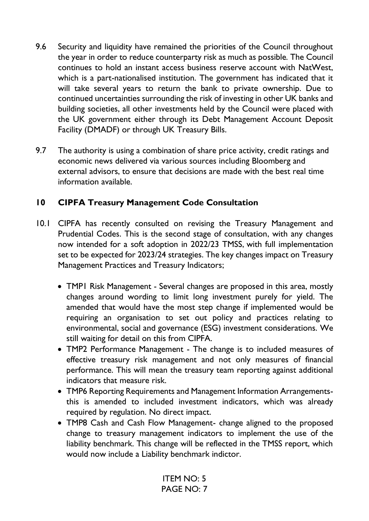- 9.6 Security and liquidity have remained the priorities of the Council throughout the year in order to reduce counterparty risk as much as possible*.* The Council continues to hold an instant access business reserve account with NatWest, which is a part-nationalised institution. The government has indicated that it will take several years to return the bank to private ownership. Due to continued uncertainties surrounding the risk of investing in other UK banks and building societies, all other investments held by the Council were placed with the UK government either through its Debt Management Account Deposit Facility (DMADF) or through UK Treasury Bills.
- 9.7 The authority is using a combination of share price activity, credit ratings and economic news delivered via various sources including Bloomberg and external advisors, to ensure that decisions are made with the best real time information available.

### **10 CIPFA Treasury Management Code Consultation**

- 10.1 CIPFA has recently consulted on revising the Treasury Management and Prudential Codes. This is the second stage of consultation, with any changes now intended for a soft adoption in 2022/23 TMSS, with full implementation set to be expected for 2023/24 strategies. The key changes impact on Treasury Management Practices and Treasury Indicators;
	- TMP1 Risk Management Several changes are proposed in this area, mostly changes around wording to limit long investment purely for yield. The amended that would have the most step change if implemented would be requiring an organisation to set out policy and practices relating to environmental, social and governance (ESG) investment considerations. We still waiting for detail on this from CIPFA.
	- TMP2 Performance Management The change is to included measures of effective treasury risk management and not only measures of financial performance. This will mean the treasury team reporting against additional indicators that measure risk.
	- TMP6 Reporting Requirements and Management Information Arrangementsthis is amended to included investment indicators, which was already required by regulation. No direct impact.
	- TMP8 Cash and Cash Flow Management- change aligned to the proposed change to treasury management indicators to implement the use of the liability benchmark. This change will be reflected in the TMSS report, which would now include a Liability benchmark indictor.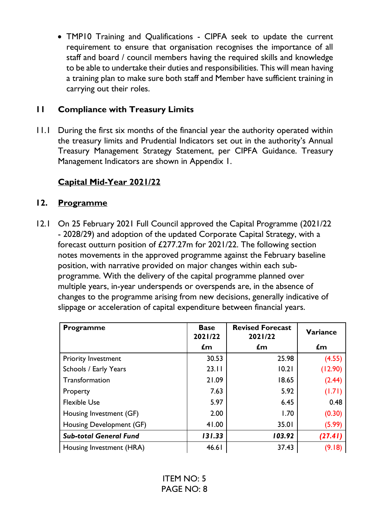• TMP10 Training and Qualifications - CIPFA seek to update the current requirement to ensure that organisation recognises the importance of all staff and board / council members having the required skills and knowledge to be able to undertake their duties and responsibilities. This will mean having a training plan to make sure both staff and Member have sufficient training in carrying out their roles.

### **11 Compliance with Treasury Limits**

11.1 During the first six months of the financial year the authority operated within the treasury limits and Prudential Indicators set out in the authority's Annual Treasury Management Strategy Statement, per CIPFA Guidance. Treasury Management Indicators are shown in Appendix 1.

# **Capital Mid-Year 2021/22**

### **12. Programme**

12.1 On 25 February 2021 Full Council approved the Capital Programme (2021/22 - 2028/29) and adoption of the updated Corporate Capital Strategy, with a forecast outturn position of £277.27m for 2021/22. The following section notes movements in the approved programme against the February baseline position, with narrative provided on major changes within each subprogramme. With the delivery of the capital programme planned over multiple years, in-year underspends or overspends are, in the absence of changes to the programme arising from new decisions, generally indicative of slippage or acceleration of capital expenditure between financial years.

| <b>Programme</b>              | <b>Base</b><br>2021/22 | <b>Revised Forecast</b><br>2021/22 | Variance       |
|-------------------------------|------------------------|------------------------------------|----------------|
|                               | £m                     | $\mathbf{f}$ m                     | $\mathbf{f}$ m |
| <b>Priority Investment</b>    | 30.53                  | 25.98                              | (4.55)         |
| Schools / Early Years         | 23.11                  | 10.21                              | (12.90)        |
| Transformation                | 21.09                  | 18.65                              | (2.44)         |
| Property                      | 7.63                   | 5.92                               | (1.71)         |
| <b>Flexible Use</b>           | 5.97                   | 6.45                               | 0.48           |
| Housing Investment (GF)       | 2.00                   | 1.70                               | (0.30)         |
| Housing Development (GF)      | 41.00                  | 35.01                              | (5.99)         |
| <b>Sub-total General Fund</b> | 131.33                 | 103.92                             | (27.41)        |
| Housing Investment (HRA)      | 46.61                  | 37.43                              | (9.18)         |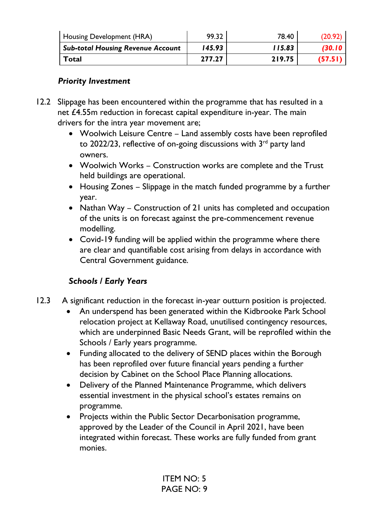| Housing Development (HRA)                | 99.32  | 78.40  | (20.92)       |
|------------------------------------------|--------|--------|---------------|
| <b>Sub-total Housing Revenue Account</b> | 145.93 | 115.83 | <b>630.10</b> |
| Total                                    | 277.27 | 219.75 | (57.51)       |

### *Priority Investment*

- 12.2 Slippage has been encountered within the programme that has resulted in a net £4.55m reduction in forecast capital expenditure in-year. The main drivers for the intra year movement are;
	- Woolwich Leisure Centre Land assembly costs have been reprofiled to 2022/23, reflective of on-going discussions with  $3<sup>rd</sup>$  party land owners.
	- Woolwich Works Construction works are complete and the Trust held buildings are operational.
	- Housing Zones Slippage in the match funded programme by a further year.
	- Nathan Way Construction of 21 units has completed and occupation of the units is on forecast against the pre-commencement revenue modelling.
	- Covid-19 funding will be applied within the programme where there are clear and quantifiable cost arising from delays in accordance with Central Government guidance.

# *Schools / Early Years*

- 12.3 A significant reduction in the forecast in-year outturn position is projected.
	- An underspend has been generated within the Kidbrooke Park School relocation project at Kellaway Road, unutilised contingency resources, which are underpinned Basic Needs Grant, will be reprofiled within the Schools / Early years programme.
	- Funding allocated to the delivery of SEND places within the Borough has been reprofiled over future financial years pending a further decision by Cabinet on the School Place Planning allocations.
	- Delivery of the Planned Maintenance Programme, which delivers essential investment in the physical school's estates remains on programme.
	- Projects within the Public Sector Decarbonisation programme, approved by the Leader of the Council in April 2021, have been integrated within forecast. These works are fully funded from grant monies.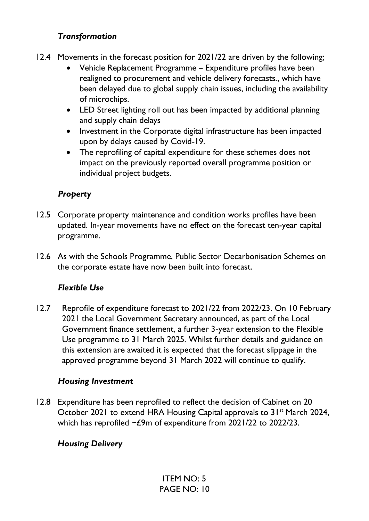### *Transformation*

- 12.4 Movements in the forecast position for 2021/22 are driven by the following;
	- Vehicle Replacement Programme Expenditure profiles have been realigned to procurement and vehicle delivery forecasts., which have been delayed due to global supply chain issues, including the availability of microchips.
	- LED Street lighting roll out has been impacted by additional planning and supply chain delays
	- Investment in the Corporate digital infrastructure has been impacted upon by delays caused by Covid-19.
	- The reprofiling of capital expenditure for these schemes does not impact on the previously reported overall programme position or individual project budgets.

### *Property*

- 12.5 Corporate property maintenance and condition works profiles have been updated. In-year movements have no effect on the forecast ten-year capital programme.
- 12.6 As with the Schools Programme, Public Sector Decarbonisation Schemes on the corporate estate have now been built into forecast.

### *Flexible Use*

12.7 Reprofile of expenditure forecast to 2021/22 from 2022/23. On 10 February 2021 the Local Government Secretary announced, as part of the Local Government finance settlement, a further 3-year extension to the Flexible Use programme to 31 March 2025. Whilst further details and guidance on this extension are awaited it is expected that the forecast slippage in the approved programme beyond 31 March 2022 will continue to qualify.

### *Housing Investment*

12.8 Expenditure has been reprofiled to reflect the decision of Cabinet on 20 October 2021 to extend HRA Housing Capital approvals to 31<sup>st</sup> March 2024, which has reprofiled  $\sim$  £9m of expenditure from 2021/22 to 2022/23.

### *Housing Delivery*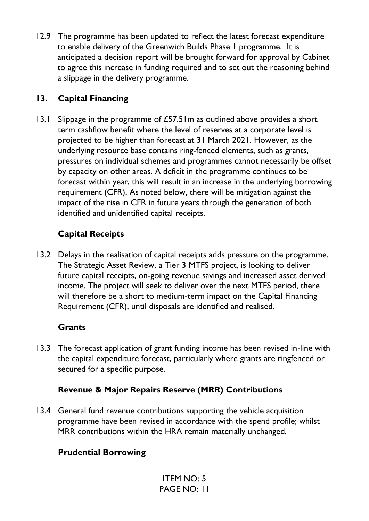12.9 The programme has been updated to reflect the latest forecast expenditure to enable delivery of the Greenwich Builds Phase 1 programme. It is anticipated a decision report will be brought forward for approval by Cabinet to agree this increase in funding required and to set out the reasoning behind a slippage in the delivery programme.

## **13. Capital Financing**

13.1 Slippage in the programme of £57.51m as outlined above provides a short term cashflow benefit where the level of reserves at a corporate level is projected to be higher than forecast at 31 March 2021. However, as the underlying resource base contains ring-fenced elements, such as grants, pressures on individual schemes and programmes cannot necessarily be offset by capacity on other areas. A deficit in the programme continues to be forecast within year, this will result in an increase in the underlying borrowing requirement (CFR). As noted below, there will be mitigation against the impact of the rise in CFR in future years through the generation of both identified and unidentified capital receipts.

# **Capital Receipts**

13.2 Delays in the realisation of capital receipts adds pressure on the programme. The Strategic Asset Review, a Tier 3 MTFS project, is looking to deliver future capital receipts, on-going revenue savings and increased asset derived income. The project will seek to deliver over the next MTFS period, there will therefore be a short to medium-term impact on the Capital Financing Requirement (CFR), until disposals are identified and realised.

## **Grants**

13.3 The forecast application of grant funding income has been revised in-line with the capital expenditure forecast, particularly where grants are ringfenced or secured for a specific purpose.

## **Revenue & Major Repairs Reserve (MRR) Contributions**

13.4 General fund revenue contributions supporting the vehicle acquisition programme have been revised in accordance with the spend profile; whilst MRR contributions within the HRA remain materially unchanged.

# **Prudential Borrowing**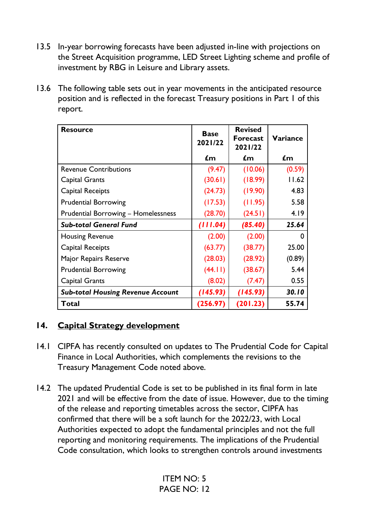- 13.5 In-year borrowing forecasts have been adjusted in-line with projections on the Street Acquisition programme, LED Street Lighting scheme and profile of investment by RBG in Leisure and Library assets.
- 13.6 The following table sets out in year movements in the anticipated resource position and is reflected in the forecast Treasury positions in Part 1 of this report.

| <b>Resource</b>                            | <b>Base</b><br>2021/22 | <b>Revised</b><br><b>Forecast</b><br>2021/22 | <b>Variance</b> |
|--------------------------------------------|------------------------|----------------------------------------------|-----------------|
|                                            | $\mathbf{f}$ m         | £m                                           | £m              |
| <b>Revenue Contributions</b>               | (9.47)                 | (10.06)                                      | (0.59)          |
| Capital Grants                             | (30.61)                | (18.99)                                      | 11.62           |
| Capital Receipts                           | (24.73)                | (19.90)                                      | 4.83            |
| <b>Prudential Borrowing</b>                | (17.53)                | (11.95)                                      | 5.58            |
| <b>Prudential Borrowing - Homelessness</b> | (28.70)                | (24.51)                                      | 4.19            |
| <b>Sub-total General Fund</b>              | (111.04)               | (85.40)                                      | 25.64           |
| <b>Housing Revenue</b>                     | (2.00)                 | (2.00)                                       |                 |
| Capital Receipts                           | (63.77)                | (38.77)                                      | 25.00           |
| Major Repairs Reserve                      | (28.03)                | (28.92)                                      | (0.89)          |
| <b>Prudential Borrowing</b>                | (44.11)                | (38.67)                                      | 5.44            |
| Capital Grants                             | (8.02)                 | (7.47)                                       | 0.55            |
| <b>Sub-total Housing Revenue Account</b>   | (145.93)               | (145.93)                                     | 30.10           |
| Total                                      | (256.97)               | (201.23)                                     | 55.74           |

### **14. Capital Strategy development**

- 14.1 CIPFA has recently consulted on updates to The Prudential Code for Capital Finance in Local Authorities, which complements the revisions to the Treasury Management Code noted above.
- 14.2 The updated Prudential Code is set to be published in its final form in late 2021 and will be effective from the date of issue. However, due to the timing of the release and reporting timetables across the sector, CIPFA has confirmed that there will be a soft launch for the 2022/23, with Local Authorities expected to adopt the fundamental principles and not the full reporting and monitoring requirements. The implications of the Prudential Code consultation, which looks to strengthen controls around investments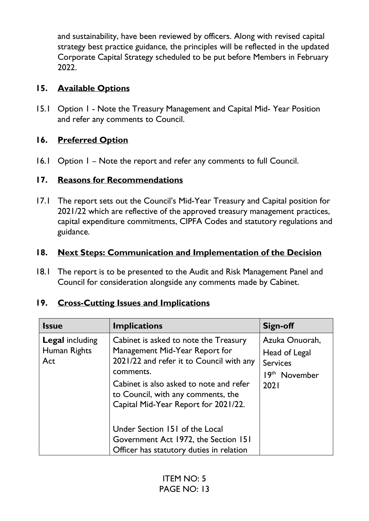and sustainability, have been reviewed by officers. Along with revised capital strategy best practice guidance, the principles will be reflected in the updated Corporate Capital Strategy scheduled to be put before Members in February 2022.

## **15. Available Options**

15.1 Option 1 - Note the Treasury Management and Capital Mid- Year Position and refer any comments to Council.

# **16. Preferred Option**

16.1 Option 1 – Note the report and refer any comments to full Council.

# **17. Reasons for Recommendations**

17.1 The report sets out the Council's Mid-Year Treasury and Capital position for 2021/22 which are reflective of the approved treasury management practices, capital expenditure commitments, CIPFA Codes and statutory regulations and guidance.

# **18. Next Steps: Communication and Implementation of the Decision**

18.1 The report is to be presented to the Audit and Risk Management Panel and Council for consideration alongside any comments made by Cabinet.

| <b>Issue</b>                                  | <b>Implications</b>                                                                                                                                                                                                                                       | Sign-off                                                                                |
|-----------------------------------------------|-----------------------------------------------------------------------------------------------------------------------------------------------------------------------------------------------------------------------------------------------------------|-----------------------------------------------------------------------------------------|
| <b>Legal including</b><br>Human Rights<br>Act | Cabinet is asked to note the Treasury<br>Management Mid-Year Report for<br>2021/22 and refer it to Council with any<br>comments.<br>Cabinet is also asked to note and refer<br>to Council, with any comments, the<br>Capital Mid-Year Report for 2021/22. | Azuka Onuorah,<br>Head of Legal<br><b>Services</b><br>19 <sup>th</sup> November<br>2021 |
|                                               | Under Section 151 of the Local<br>Government Act 1972, the Section 151<br>Officer has statutory duties in relation                                                                                                                                        |                                                                                         |

# **19. Cross-Cutting Issues and Implications**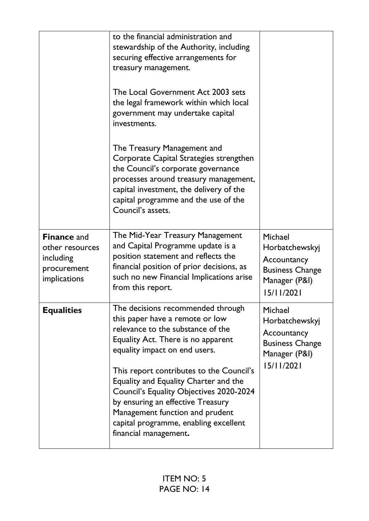|                                                                                   | to the financial administration and<br>stewardship of the Authority, including<br>securing effective arrangements for<br>treasury management.<br>The Local Government Act 2003 sets<br>the legal framework within which local<br>government may undertake capital<br>investments.<br>The Treasury Management and<br>Corporate Capital Strategies strengthen<br>the Council's corporate governance<br>processes around treasury management,<br>capital investment, the delivery of the<br>capital programme and the use of the<br>Council's assets. |                                                                                                   |
|-----------------------------------------------------------------------------------|----------------------------------------------------------------------------------------------------------------------------------------------------------------------------------------------------------------------------------------------------------------------------------------------------------------------------------------------------------------------------------------------------------------------------------------------------------------------------------------------------------------------------------------------------|---------------------------------------------------------------------------------------------------|
| <b>Finance and</b><br>other resources<br>including<br>procurement<br>implications | The Mid-Year Treasury Management<br>and Capital Programme update is a<br>position statement and reflects the<br>financial position of prior decisions, as<br>such no new Financial Implications arise<br>from this report.                                                                                                                                                                                                                                                                                                                         | Michael<br>Horbatchewskyj<br>Accountancy<br><b>Business Change</b><br>Manager (P&I)<br>15/11/2021 |
| <b>Equalities</b>                                                                 | The decisions recommended through<br>this paper have a remote or low<br>relevance to the substance of the<br>Equality Act. There is no apparent<br>equality impact on end users.<br>This report contributes to the Council's<br>Equality and Equality Charter and the<br>Council's Equality Objectives 2020-2024<br>by ensuring an effective Treasury<br>Management function and prudent<br>capital programme, enabling excellent<br>financial management.                                                                                         | Michael<br>Horbatchewskyj<br>Accountancy<br><b>Business Change</b><br>Manager (P&I)<br>15/11/2021 |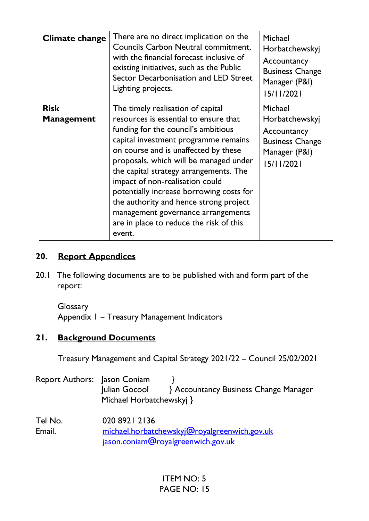| Climate change                   | There are no direct implication on the<br>Councils Carbon Neutral commitment,<br>with the financial forecast inclusive of<br>existing initiatives, such as the Public<br>Sector Decarbonisation and LED Street<br>Lighting projects.                                                                                                                                                                                                                                                                      | Michael<br>Horbatchewskyj<br>Accountancy<br><b>Business Change</b><br>Manager (P&I)<br>15/11/2021 |
|----------------------------------|-----------------------------------------------------------------------------------------------------------------------------------------------------------------------------------------------------------------------------------------------------------------------------------------------------------------------------------------------------------------------------------------------------------------------------------------------------------------------------------------------------------|---------------------------------------------------------------------------------------------------|
| <b>Risk</b><br><b>Management</b> | The timely realisation of capital<br>resources is essential to ensure that<br>funding for the council's ambitious<br>capital investment programme remains<br>on course and is unaffected by these<br>proposals, which will be managed under<br>the capital strategy arrangements. The<br>impact of non-realisation could<br>potentially increase borrowing costs for<br>the authority and hence strong project<br>management governance arrangements<br>are in place to reduce the risk of this<br>event. | Michael<br>Horbatchewskyj<br>Accountancy<br><b>Business Change</b><br>Manager (P&I)<br>15/11/2021 |

## **20. Report Appendices**

20.1 The following documents are to be published with and form part of the report:

**Glossary** Appendix 1 – Treasury Management Indicators

## **21. Background Documents**

Treasury Management and Capital Strategy 2021/22 – Council 25/02/2021

| Report Authors: Jason Coniam | Julian Gocool<br>Michael Horbatchewskyj }                                                           | <b>Accountancy Business Change Manager</b> |
|------------------------------|-----------------------------------------------------------------------------------------------------|--------------------------------------------|
| Tel No.<br>Email.            | 020 8921 2136<br>michael.horbatchewskyj@royalgreenwich.gov.uk<br>jason.coniam@royalgreenwich.gov.uk |                                            |